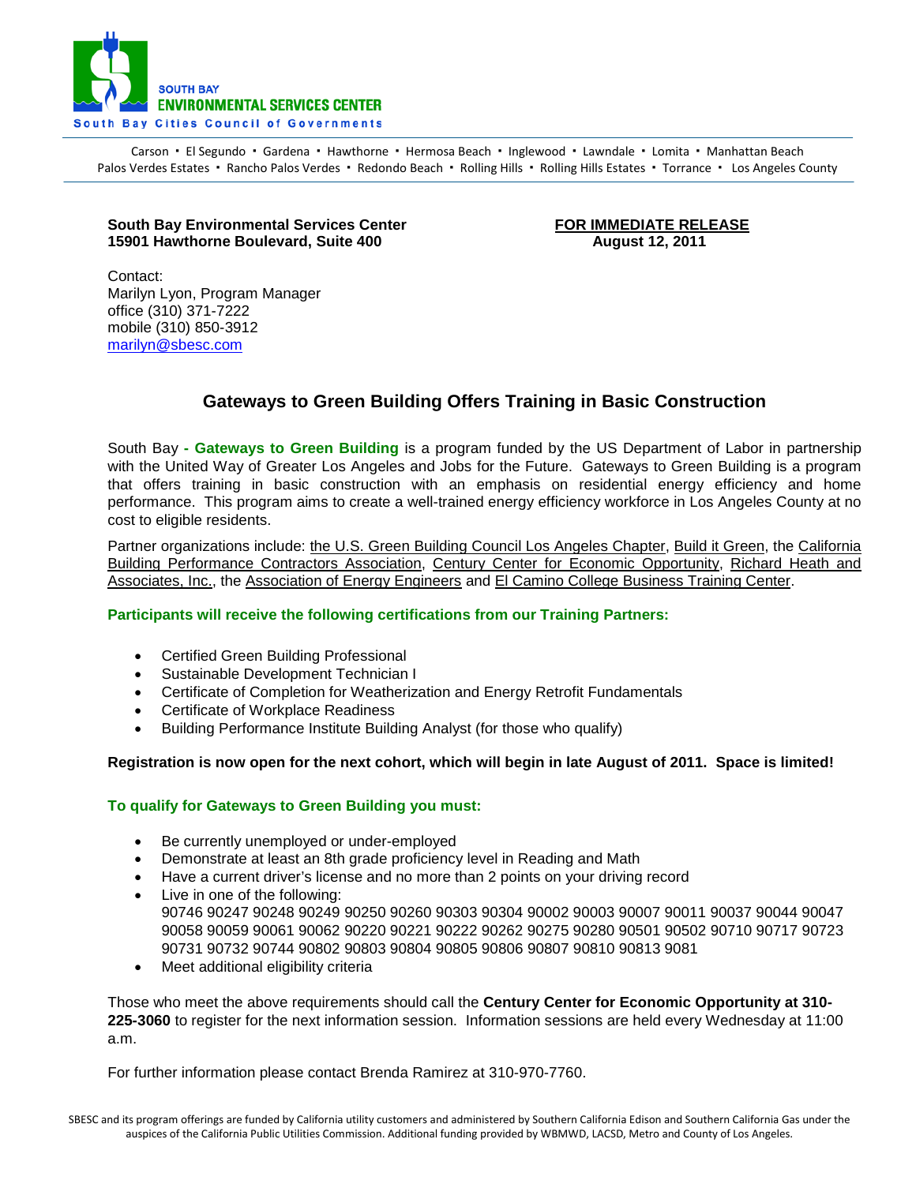

Carson • El Segundo • Gardena • Hawthorne • Hermosa Beach • Inglewood • Lawndale • Lomita • Manhattan Beach Palos Verdes Estates · Rancho Palos Verdes · Redondo Beach · Rolling Hills · Rolling Hills Estates · Torrance · Los Angeles County

## **South Bay Environmental Services Center** FOR IMMEDIATE RELEASE<br>15901 Hawthorne Boulevard, Suite 400 **FOR INCIS** August 12, 2011 **15901 Hawthorne Boulevard, Suite 400**

Contact: Marilyn Lyon, Program Manager office (310) 371-7222 mobile (310) 850-3912 [marilyn@sbesc.com](mailto:marilyn@sbesc.com)

# **Gateways to Green Building Offers Training in Basic Construction**

South Bay **- Gateways to Green Building** is a program funded by the US Department of Labor in partnership with the United Way of Greater Los Angeles and Jobs for the Future. Gateways to Green Building is a program that offers training in basic construction with an emphasis on residential energy efficiency and home performance. This program aims to create a well-trained energy efficiency workforce in Los Angeles County at no cost to eligible residents.

Partner organizations include: [the U.S. Green Building Council Los Angeles Chapter,](http://www.usgbc-la.org/) [Build it Green,](http://www.builditgreen.org/) the [California](http://thecbpca.org/)  [Building Performance Contractors Association,](http://thecbpca.org/) [Century Center for Economic Opportunity,](http://www.ibew11.org/) [Richard Heath and](http://www.rhainc.com/)  [Associates, Inc.,](http://www.rhainc.com/) the [Association of Energy Engineers](http://www.aeecenter.org/) and [El Camino College Business Training Center.](http://www.businessassist.org/)

## **Participants will receive the following certifications from our Training Partners:**

- Certified Green Building Professional
- Sustainable Development Technician I
- Certificate of Completion for Weatherization and Energy Retrofit Fundamentals
- Certificate of Workplace Readiness
- Building Performance Institute Building Analyst (for those who qualify)

## **Registration is now open for the next cohort, which will begin in late August of 2011. Space is limited!**

## **To qualify for Gateways to Green Building you must:**

- Be currently unemployed or under-employed
- Demonstrate at least an 8th grade proficiency level in Reading and Math
- Have a current driver's license and no more than 2 points on your driving record
- Live in one of the following: 90746 90247 90248 90249 90250 90260 90303 90304 90002 90003 90007 90011 90037 90044 90047 90058 90059 90061 90062 90220 90221 90222 90262 90275 90280 90501 90502 90710 90717 90723 90731 90732 90744 90802 90803 90804 90805 90806 90807 90810 90813 9081
- Meet additional eligibility criteria

Those who meet the above requirements should call the **Century Center for Economic Opportunity at 310- 225-3060** to register for the next information session. Information sessions are held every Wednesday at 11:00 a.m.

For further information please contact Brenda Ramirez at 310-970-7760.